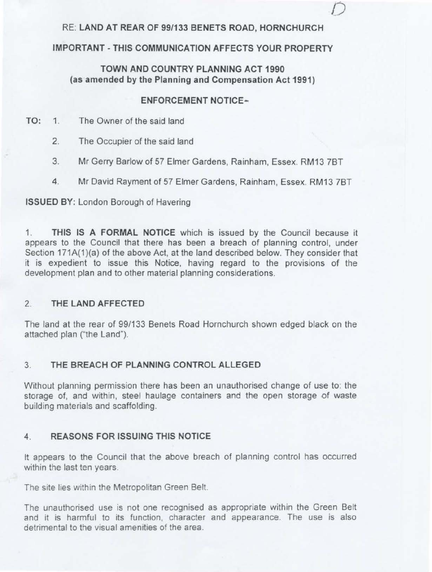## RE: **LAND AT REAR OF 99/133 BENETS ROAD, HORNCHURCH**

*()* 

## **IMPORTANT - THIS COMMUNICATION AFFECTS YOUR PROPERTY**

## **TOWN AND COUNTRY PLANNING ACT 1990 (as amended by the Planning and Compensation Act 1991)**

### **ENFORCEMENT NOTICE-**

- **TO:** 1. The Owner of the said land
	- 2. The Occupier of the said land
	- 3. Mr Gerry Barlow of 57 Elmer Gardens, Rainham, Essex. RM13 7BT
	- 4. Mr David Rayment of 57 Elmer Gardens, Rainham, Essex, RM13 7BT

#### **ISSUED BY:** London Borough of Havering

1. **THIS IS A FORMAL NOTICE** which is issued by the Council because it appears to the Council that there has been a breach of planning control, under Section 171A(1)(a) of the above Act, at the land described below. They consider that it is expedient to issue this Notice, having regard to the provisions of the development plan and to other material planning considerations.

#### 2. **THE LAND AFFECTED**

The land at the rear of 99/133 Benets Road Hornchurch shown edged black on the attached plan ("the Land").

## 3. **THE BREACH OF PLANNING CONTROL ALLEGED**

Without planning permission there has been an unauthorised change of use to: the storage of, and within, steel haulage containers and the open storage of waste building materials and scaffolding.

#### **4. REASONS FOR ISSUING THIS NOTICE**

It appears to the Council that the above breach of planning control has occurred within the last ten years.

The site lies within the Metropolitan Green Belt.

The unauthorised use is not one recognised as appropriate within the Green Belt and it is harmful to its function, character and appearance The use is also detrimental to the visual amenities of the area.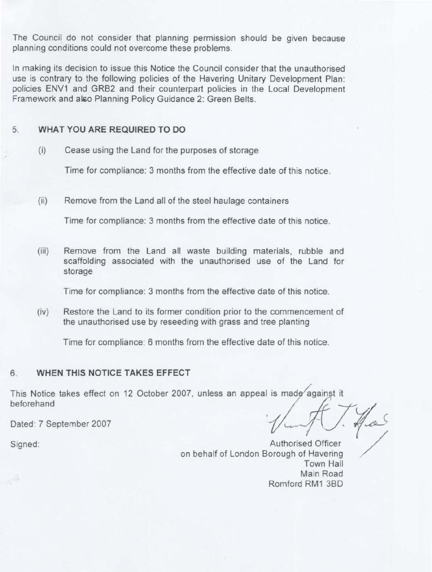The Council do not consider that planning permission should be given because planning conditions could not overcome these problems.

In making its decision to issue this Notice the Council consider that the unauthorised use is contrary to the following policies of the Havering Unitary Development Plan: policies ENV1 and GR82 and their counterpart policies in the Local Development Framework and also Planning Policy Guidance 2: Green Belts.

## 5. **WHAT YOU ARE REQUIRED TO DO**

(i) Cease using the Land for the purposes of storage

Time for compliance: 3 months from the effective date of this notice.

(ii) Remove from the Land all of the steel haulage containers

Time for compliance: 3 months from the effective date of this notice.

(iii) Remove from the Land all waste building materials, rubble and scaffolding associated with the unauthorised use of the Land for storage

Time for compliance: 3 months from the effective date of this notice.

(iv) Restore the Land to its former condition prior to the commencement of the unauthorised use by reseeding with grass and tree planting

Time for compliance: 6 months from the effective date of this notice.

#### 6. **WHEN THIS NOTICE TAKES EFFECT**

This Notice takes effect on beforehand TAKES EFFECT<br>12 October 2007, unless an appeal is made against it

Dated: 7 September 2007

/

Signed: Authorised Officer on behalf of London Borough of Havering Town Hall Main Road Romford RM1 38D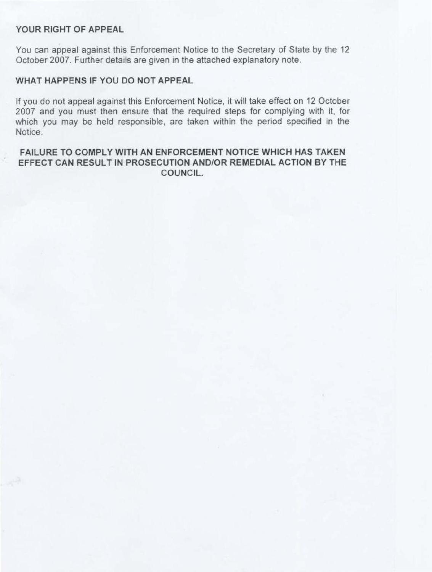### **YOUR RIGHT OF APPEAL**

You can appeal against this Enforcement Notice to the Secretary of State by the 12 October 2007. Further details are given in the attached explanatory note.

### **WHAT HAPPENS IF YOU DO NOT APPEAL**

If you do not appeal against this Enforcement Notice, it will take effect on 12 October 2007 and you must then ensure that the required steps for complying with it, for which you may be held responsible, are taken within the period specified in the Notice.

# FAILURE TO COMPLY WITH AN ENFORCEMENT NOTICE WHICH HAS TAKEN EFFECT CAN RESULT IN PROSECUTION AND/OR REMEDIAL ACTION BY THE COUNCIL.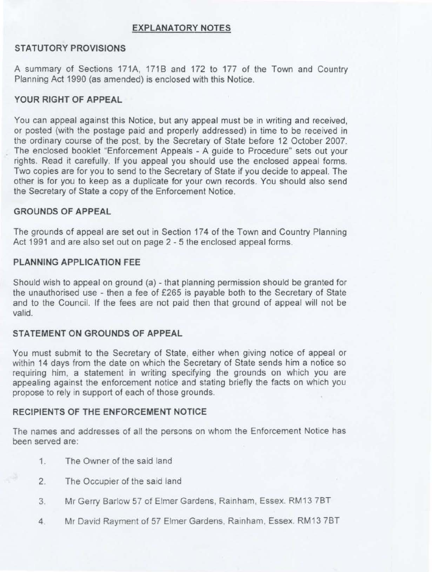#### **EXPLANATORY NOTES**

## **STATUTORY PROVISIONS**

A summary of Sections 171A, 171B and 172 to 177 of the Town and Country Planning Act 1990 (as amended) is enclosed with this Notice.

### **YOUR RIGHT OF APPEAL**

You can appeal against this Notice, but any appeal must be in writing and received, or posted (with the postage paid and properly addressed) in time to be received in the ordinary course of the post, by the Secretary of State before 12 October 2007. The enclosed booklet "Enforcement Appeals - A guide to Procedure" sets out your rights. Read it carefully. If you appeal you should use the enclosed appeal forms. Two copies are for you to send to the Secretary of State if you decide to appeal. The other is for you to keep as a duplicate for your own records. You should also send the Secretary of State a copy of the Enforcement Notice.

## **GROUNDS OF APPEAL**

The grounds of appeal are set out in Section 174 of the Town and Country Planning Act 1991 and are also set out on page 2 - 5 the enclosed appeal forms.

#### **PLANNING APPLICATION FEE**

Should wish to appeal on ground (a) - that planning permission should be granted for the unauthorised use - then a fee of £265 is payable both to the Secretary of State and to the Council. If the fees are not paid then that ground of appeal will not be valid.

### **STATEMENT ON GROUNDS OF APPEAL**

You must submit to the Secretary of State, either when giving notice of appeal or within 14 days from the date on which the Secretary of State sends him a notice so requiring him, a statement in writing specifying the grounds on which you are appealing against the enforcement notice and stating briefly the facts on which you propose to rely in support of each of those grounds.

### **RECIPIENTS OF THE ENFORCEMENT NOTICE**

The names and addresses of all the persons on whom the Enforcement Notice has been served are:

- 1. The Owner of the said land
- 2. The Occupier of the said land
- 3. Mr Gerry Barlow 57 of Elmer Gardens, Rainham, Essex. RM13 7BT
- 4 Mr David Rayment of 57 Elmer Gardens, Rainham, Essex. RM13 7BT